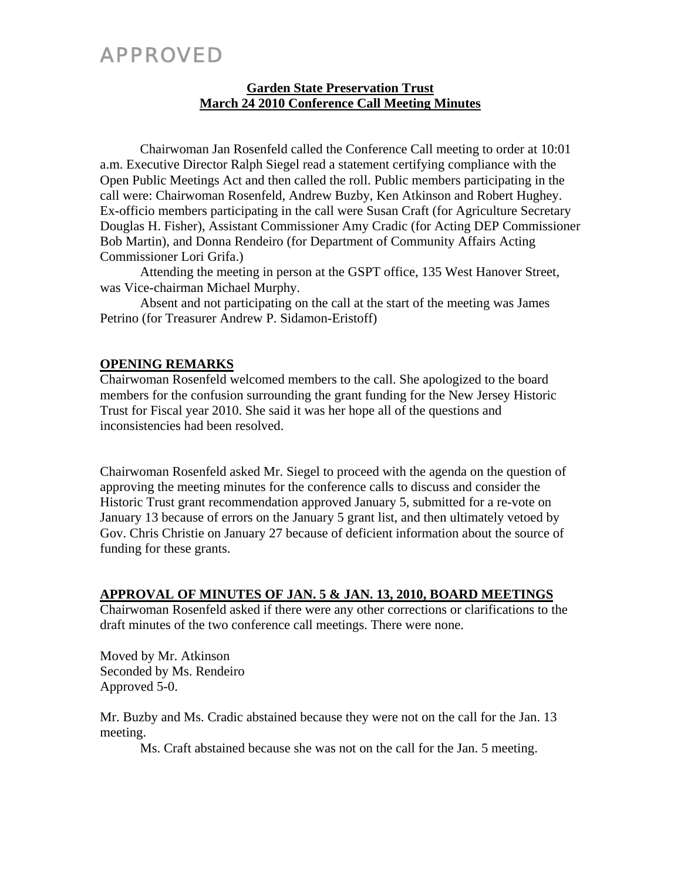# APPROVED

## **Garden State Preservation Trust March 24 2010 Conference Call Meeting Minutes**

Chairwoman Jan Rosenfeld called the Conference Call meeting to order at 10:01 a.m. Executive Director Ralph Siegel read a statement certifying compliance with the Open Public Meetings Act and then called the roll. Public members participating in the call were: Chairwoman Rosenfeld, Andrew Buzby, Ken Atkinson and Robert Hughey. Ex-officio members participating in the call were Susan Craft (for Agriculture Secretary Douglas H. Fisher), Assistant Commissioner Amy Cradic (for Acting DEP Commissioner Bob Martin), and Donna Rendeiro (for Department of Community Affairs Acting Commissioner Lori Grifa.)

Attending the meeting in person at the GSPT office, 135 West Hanover Street, was Vice-chairman Michael Murphy.

Absent and not participating on the call at the start of the meeting was James Petrino (for Treasurer Andrew P. Sidamon-Eristoff)

## **OPENING REMARKS**

Chairwoman Rosenfeld welcomed members to the call. She apologized to the board members for the confusion surrounding the grant funding for the New Jersey Historic Trust for Fiscal year 2010. She said it was her hope all of the questions and inconsistencies had been resolved.

Chairwoman Rosenfeld asked Mr. Siegel to proceed with the agenda on the question of approving the meeting minutes for the conference calls to discuss and consider the Historic Trust grant recommendation approved January 5, submitted for a re-vote on January 13 because of errors on the January 5 grant list, and then ultimately vetoed by Gov. Chris Christie on January 27 because of deficient information about the source of funding for these grants.

## **APPROVAL OF MINUTES OF JAN. 5 & JAN. 13, 2010, BOARD MEETINGS**

Chairwoman Rosenfeld asked if there were any other corrections or clarifications to the draft minutes of the two conference call meetings. There were none.

Moved by Mr. Atkinson Seconded by Ms. Rendeiro Approved 5-0.

Mr. Buzby and Ms. Cradic abstained because they were not on the call for the Jan. 13 meeting.

Ms. Craft abstained because she was not on the call for the Jan. 5 meeting.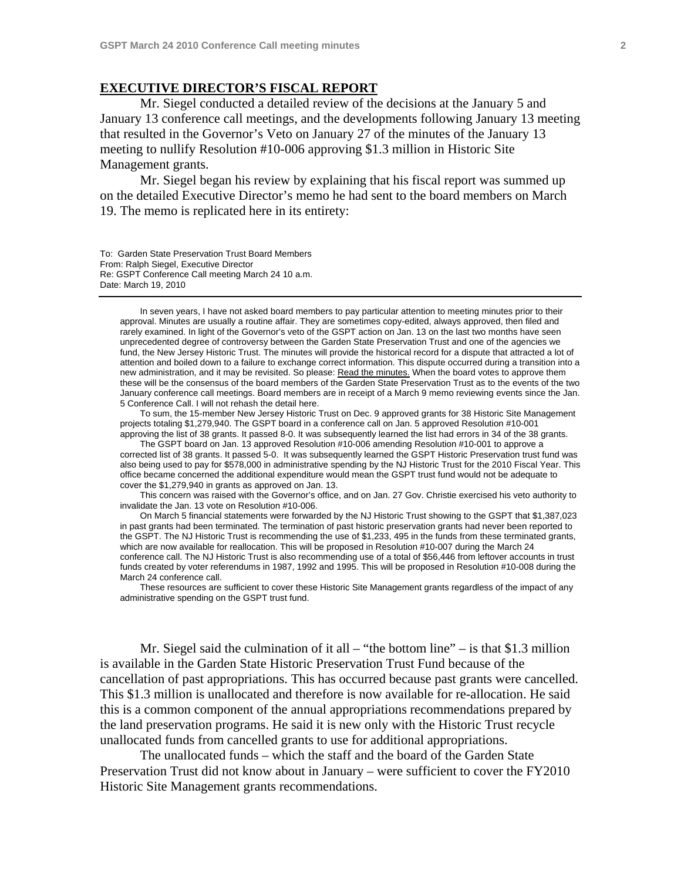### **EXECUTIVE DIRECTOR'S FISCAL REPORT**

 Mr. Siegel conducted a detailed review of the decisions at the January 5 and January 13 conference call meetings, and the developments following January 13 meeting that resulted in the Governor's Veto on January 27 of the minutes of the January 13 meeting to nullify Resolution #10-006 approving \$1.3 million in Historic Site Management grants.

 Mr. Siegel began his review by explaining that his fiscal report was summed up on the detailed Executive Director's memo he had sent to the board members on March 19. The memo is replicated here in its entirety:

To: Garden State Preservation Trust Board Members From: Ralph Siegel, Executive Director Re: GSPT Conference Call meeting March 24 10 a.m. Date: March 19, 2010

In seven years, I have not asked board members to pay particular attention to meeting minutes prior to their approval. Minutes are usually a routine affair. They are sometimes copy-edited, always approved, then filed and rarely examined. In light of the Governor's veto of the GSPT action on Jan. 13 on the last two months have seen unprecedented degree of controversy between the Garden State Preservation Trust and one of the agencies we fund, the New Jersey Historic Trust. The minutes will provide the historical record for a dispute that attracted a lot of attention and boiled down to a failure to exchange correct information. This dispute occurred during a transition into a new administration, and it may be revisited. So please: Read the minutes. When the board votes to approve them these will be the consensus of the board members of the Garden State Preservation Trust as to the events of the two January conference call meetings. Board members are in receipt of a March 9 memo reviewing events since the Jan. 5 Conference Call. I will not rehash the detail here.

 To sum, the 15-member New Jersey Historic Trust on Dec. 9 approved grants for 38 Historic Site Management projects totaling \$1,279,940. The GSPT board in a conference call on Jan. 5 approved Resolution #10-001 approving the list of 38 grants. It passed 8-0. It was subsequently learned the list had errors in 34 of the 38 grants.

 The GSPT board on Jan. 13 approved Resolution #10-006 amending Resolution #10-001 to approve a corrected list of 38 grants. It passed 5-0. It was subsequently learned the GSPT Historic Preservation trust fund was also being used to pay for \$578,000 in administrative spending by the NJ Historic Trust for the 2010 Fiscal Year. This office became concerned the additional expenditure would mean the GSPT trust fund would not be adequate to cover the \$1,279,940 in grants as approved on Jan. 13.

 This concern was raised with the Governor's office, and on Jan. 27 Gov. Christie exercised his veto authority to invalidate the Jan. 13 vote on Resolution #10-006.

 On March 5 financial statements were forwarded by the NJ Historic Trust showing to the GSPT that \$1,387,023 in past grants had been terminated. The termination of past historic preservation grants had never been reported to the GSPT. The NJ Historic Trust is recommending the use of \$1,233, 495 in the funds from these terminated grants, which are now available for reallocation. This will be proposed in Resolution #10-007 during the March 24 conference call. The NJ Historic Trust is also recommending use of a total of \$56,446 from leftover accounts in trust funds created by voter referendums in 1987, 1992 and 1995. This will be proposed in Resolution #10-008 during the March 24 conference call.

 These resources are sufficient to cover these Historic Site Management grants regardless of the impact of any administrative spending on the GSPT trust fund.

Mr. Siegel said the culmination of it all  $-$  "the bottom line"  $-$  is that \$1.3 million is available in the Garden State Historic Preservation Trust Fund because of the cancellation of past appropriations. This has occurred because past grants were cancelled. This \$1.3 million is unallocated and therefore is now available for re-allocation. He said this is a common component of the annual appropriations recommendations prepared by the land preservation programs. He said it is new only with the Historic Trust recycle unallocated funds from cancelled grants to use for additional appropriations.

 The unallocated funds – which the staff and the board of the Garden State Preservation Trust did not know about in January – were sufficient to cover the FY2010 Historic Site Management grants recommendations.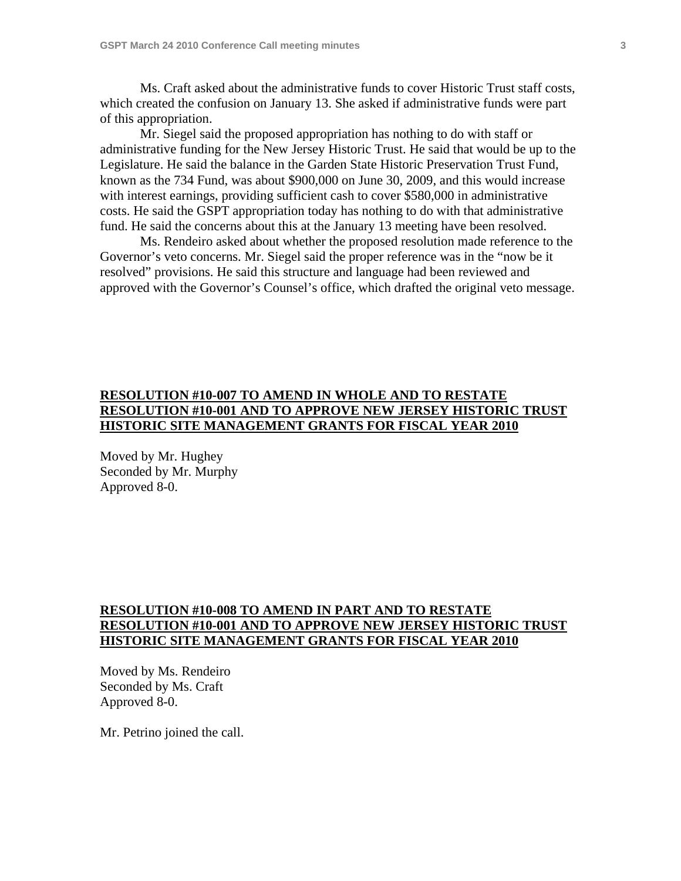Ms. Craft asked about the administrative funds to cover Historic Trust staff costs, which created the confusion on January 13. She asked if administrative funds were part of this appropriation.

 Mr. Siegel said the proposed appropriation has nothing to do with staff or administrative funding for the New Jersey Historic Trust. He said that would be up to the Legislature. He said the balance in the Garden State Historic Preservation Trust Fund, known as the 734 Fund, was about \$900,000 on June 30, 2009, and this would increase with interest earnings, providing sufficient cash to cover \$580,000 in administrative costs. He said the GSPT appropriation today has nothing to do with that administrative fund. He said the concerns about this at the January 13 meeting have been resolved.

 Ms. Rendeiro asked about whether the proposed resolution made reference to the Governor's veto concerns. Mr. Siegel said the proper reference was in the "now be it resolved" provisions. He said this structure and language had been reviewed and approved with the Governor's Counsel's office, which drafted the original veto message.

# **RESOLUTION #10-007 TO AMEND IN WHOLE AND TO RESTATE RESOLUTION #10-001 AND TO APPROVE NEW JERSEY HISTORIC TRUST HISTORIC SITE MANAGEMENT GRANTS FOR FISCAL YEAR 2010**

Moved by Mr. Hughey Seconded by Mr. Murphy Approved 8-0.

## **RESOLUTION #10-008 TO AMEND IN PART AND TO RESTATE RESOLUTION #10-001 AND TO APPROVE NEW JERSEY HISTORIC TRUST HISTORIC SITE MANAGEMENT GRANTS FOR FISCAL YEAR 2010**

Moved by Ms. Rendeiro Seconded by Ms. Craft Approved 8-0.

Mr. Petrino joined the call.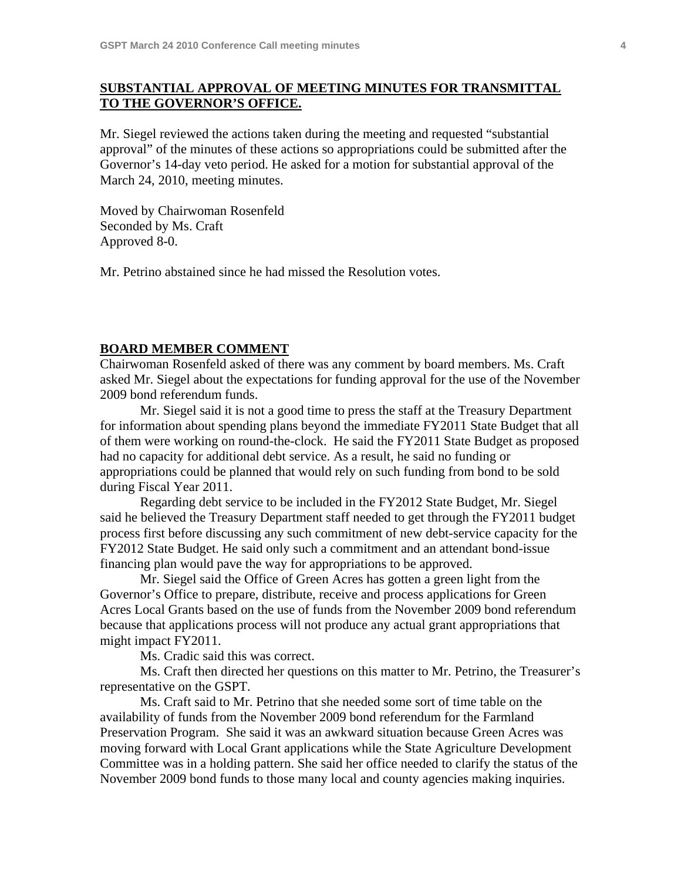## **SUBSTANTIAL APPROVAL OF MEETING MINUTES FOR TRANSMITTAL TO THE GOVERNOR'S OFFICE.**

Mr. Siegel reviewed the actions taken during the meeting and requested "substantial approval" of the minutes of these actions so appropriations could be submitted after the Governor's 14-day veto period. He asked for a motion for substantial approval of the March 24, 2010, meeting minutes.

Moved by Chairwoman Rosenfeld Seconded by Ms. Craft Approved 8-0.

Mr. Petrino abstained since he had missed the Resolution votes.

#### **BOARD MEMBER COMMENT**

Chairwoman Rosenfeld asked of there was any comment by board members. Ms. Craft asked Mr. Siegel about the expectations for funding approval for the use of the November 2009 bond referendum funds.

 Mr. Siegel said it is not a good time to press the staff at the Treasury Department for information about spending plans beyond the immediate FY2011 State Budget that all of them were working on round-the-clock. He said the FY2011 State Budget as proposed had no capacity for additional debt service. As a result, he said no funding or appropriations could be planned that would rely on such funding from bond to be sold during Fiscal Year 2011.

 Regarding debt service to be included in the FY2012 State Budget, Mr. Siegel said he believed the Treasury Department staff needed to get through the FY2011 budget process first before discussing any such commitment of new debt-service capacity for the FY2012 State Budget. He said only such a commitment and an attendant bond-issue financing plan would pave the way for appropriations to be approved.

 Mr. Siegel said the Office of Green Acres has gotten a green light from the Governor's Office to prepare, distribute, receive and process applications for Green Acres Local Grants based on the use of funds from the November 2009 bond referendum because that applications process will not produce any actual grant appropriations that might impact FY2011.

Ms. Cradic said this was correct.

 Ms. Craft then directed her questions on this matter to Mr. Petrino, the Treasurer's representative on the GSPT.

 Ms. Craft said to Mr. Petrino that she needed some sort of time table on the availability of funds from the November 2009 bond referendum for the Farmland Preservation Program. She said it was an awkward situation because Green Acres was moving forward with Local Grant applications while the State Agriculture Development Committee was in a holding pattern. She said her office needed to clarify the status of the November 2009 bond funds to those many local and county agencies making inquiries.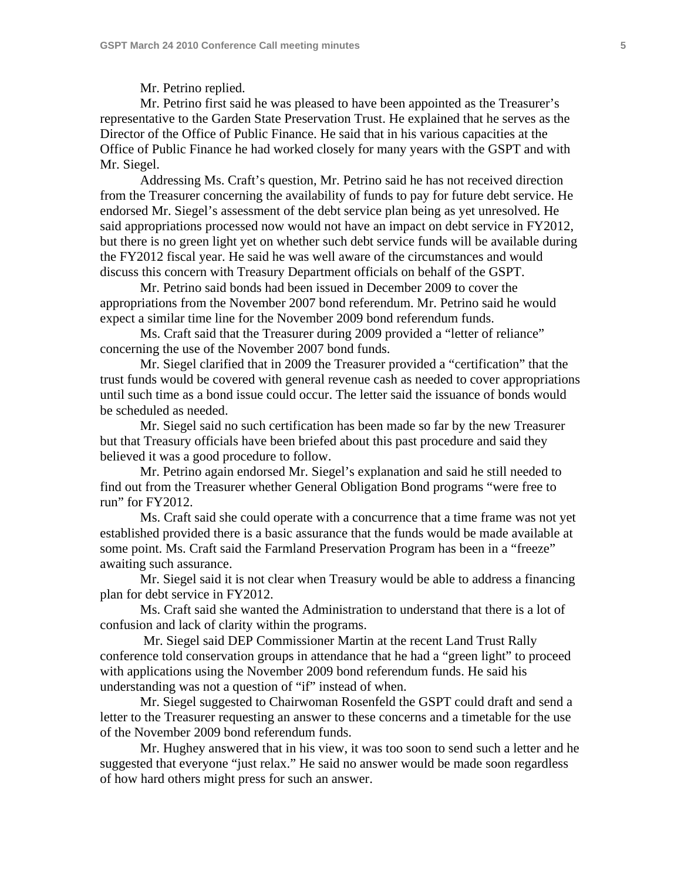Mr. Petrino replied.

 Mr. Petrino first said he was pleased to have been appointed as the Treasurer's representative to the Garden State Preservation Trust. He explained that he serves as the Director of the Office of Public Finance. He said that in his various capacities at the Office of Public Finance he had worked closely for many years with the GSPT and with Mr. Siegel.

 Addressing Ms. Craft's question, Mr. Petrino said he has not received direction from the Treasurer concerning the availability of funds to pay for future debt service. He endorsed Mr. Siegel's assessment of the debt service plan being as yet unresolved. He said appropriations processed now would not have an impact on debt service in FY2012, but there is no green light yet on whether such debt service funds will be available during the FY2012 fiscal year. He said he was well aware of the circumstances and would discuss this concern with Treasury Department officials on behalf of the GSPT.

 Mr. Petrino said bonds had been issued in December 2009 to cover the appropriations from the November 2007 bond referendum. Mr. Petrino said he would expect a similar time line for the November 2009 bond referendum funds.

 Ms. Craft said that the Treasurer during 2009 provided a "letter of reliance" concerning the use of the November 2007 bond funds.

 Mr. Siegel clarified that in 2009 the Treasurer provided a "certification" that the trust funds would be covered with general revenue cash as needed to cover appropriations until such time as a bond issue could occur. The letter said the issuance of bonds would be scheduled as needed.

 Mr. Siegel said no such certification has been made so far by the new Treasurer but that Treasury officials have been briefed about this past procedure and said they believed it was a good procedure to follow.

 Mr. Petrino again endorsed Mr. Siegel's explanation and said he still needed to find out from the Treasurer whether General Obligation Bond programs "were free to run" for FY2012.

 Ms. Craft said she could operate with a concurrence that a time frame was not yet established provided there is a basic assurance that the funds would be made available at some point. Ms. Craft said the Farmland Preservation Program has been in a "freeze" awaiting such assurance.

 Mr. Siegel said it is not clear when Treasury would be able to address a financing plan for debt service in FY2012.

 Ms. Craft said she wanted the Administration to understand that there is a lot of confusion and lack of clarity within the programs.

 Mr. Siegel said DEP Commissioner Martin at the recent Land Trust Rally conference told conservation groups in attendance that he had a "green light" to proceed with applications using the November 2009 bond referendum funds. He said his understanding was not a question of "if" instead of when.

 Mr. Siegel suggested to Chairwoman Rosenfeld the GSPT could draft and send a letter to the Treasurer requesting an answer to these concerns and a timetable for the use of the November 2009 bond referendum funds.

 Mr. Hughey answered that in his view, it was too soon to send such a letter and he suggested that everyone "just relax." He said no answer would be made soon regardless of how hard others might press for such an answer.